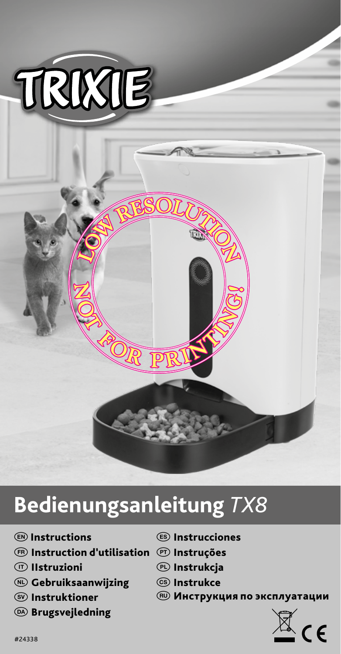

# **Bedienungsanleitung** *TX8*

- **ED** Instructions
- $\textcircled{\tiny{\textcircled{\tiny{F}}}}$  Instruction d'utilisation  $\textcircled{\tiny{\textcircled{\tiny{F}}}}$  Instruções
- *<sup>1</sup>D* Ilstruzioni
- N Gebruiksaanwijzing
- **SO** Instruktioner
- <sup>(26)</sup> Brugsvejledning
- $\textcircled{\tiny{ES}}$  Instrucciones
- 
- $<sup>①</sup>$  Instrukcja</sup>
- <sup>C</sup>S Instrukce
- **RU Инструкция по эксплуатации**

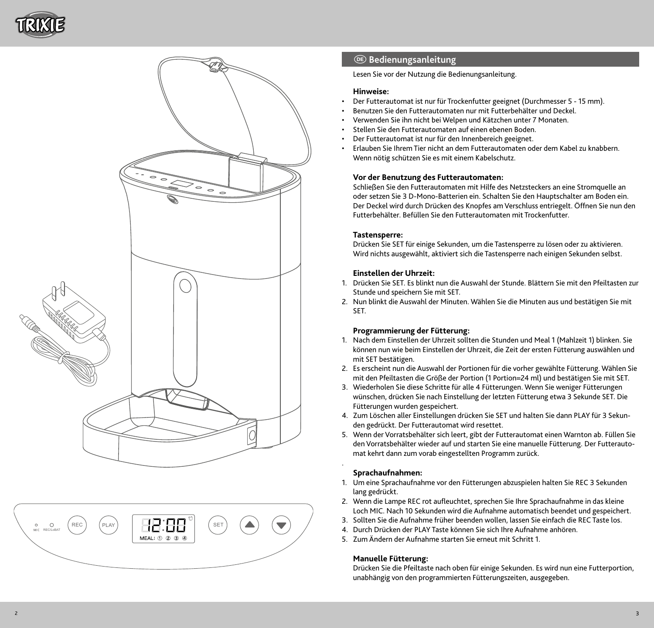





## D **Bedienungsanleitung**

Lesen Sie vor der Nutzung die Bedienungsanleitung.

## **Hinweise:**

- Der Futterautomat ist nur für Trockenfutter geeignet (Durchmesser 5 15 mm).
- Benutzen Sie den Futterautomaten nur mit Futterbehälter und Deckel.
- Verwenden Sie ihn nicht bei Welpen und Kätzchen unter 7 Monaten.
- Stellen Sie den Futterautomaten auf einen ebenen Boden.
- Der Futterautomat ist nur für den Innenbereich geeignet.
- Erlauben Sie Ihrem Tier nicht an dem Futterautomaten oder dem Kabel zu knabbern. Wenn nötig schützen Sie es mit einem Kabelschutz.

## **Vor der Benutzung des Futterautomaten:**

Schließen Sie den Futterautomaten mit Hilfe des Netzsteckers an eine Stromquelle an oder setzen Sie 3 D-Mono-Batterien ein. Schalten Sie den Hauptschalter am Boden ein. Der Deckel wird durch Drücken des Knopfes am Verschluss entriegelt. Öffnen Sie nun den Futterbehälter. Befüllen Sie den Futterautomaten mit Trockenfutter.

#### **Tastensperre:**

Drücken Sie SET für einige Sekunden, um die Tastensperre zu lösen oder zu aktivieren. Wird nichts ausgewählt, aktiviert sich die Tastensperre nach einigen Sekunden selbst.

## **Einstellen der Uhrzeit:**

- 1. Drücken Sie SET. Es blinkt nun die Auswahl der Stunde. Blättern Sie mit den Pfeiltasten zur Stunde und speichern Sie mit SET.
- 2. Nun blinkt die Auswahl der Minuten. Wählen Sie die Minuten aus und bestätigen Sie mit SET.

## **Programmierung der Fütterung:**

- 1. Nach dem Einstellen der Uhrzeit sollten die Stunden und Meal 1 (Mahlzeit 1) blinken. Sie können nun wie beim Einstellen der Uhrzeit, die Zeit der ersten Fütterung auswählen und mit SET bestätigen.
- 2. Es erscheint nun die Auswahl der Portionen für die vorher gewählte Fütterung. Wählen Sie mit den Pfeiltasten die Größe der Portion (1 Portion=24 ml) und bestätigen Sie mit SET.
- 3. Wiederholen Sie diese Schritte für alle 4 Fütterungen. Wenn Sie weniger Fütterungen wünschen, drücken Sie nach Einstellung der letzten Fütterung etwa 3 Sekunde SET. Die Fütterungen wurden gespeichert.
- 4. Zum Löschen aller Einstellungen drücken Sie SET und halten Sie dann PLAY für 3 Sekun den gedrückt. Der Futterautomat wird resettet.
- 5. Wenn der Vorratsbehälter sich leert, gibt der Futterautomat einen Warnton ab. Füllen Sie den Vorratsbehälter wieder auf und starten Sie eine manuelle Fütterung. Der Futterauto mat kehrt dann zum vorab eingestellten Programm zurück.

#### **Sprachaufnahmen:**

.

- 1. Um eine Sprachaufnahme vor den Fütterungen abzuspielen halten Sie REC 3 Sekunden lang gedrückt.
- 2. Wenn die Lampe REC rot aufleuchtet, sprechen Sie Ihre Sprachaufnahme in das kleine Loch MIC. Nach 10 Sekunden wird die Aufnahme automatisch beendet und gespeichert.
- 3. Sollten Sie die Aufnahme früher beenden wollen, lassen Sie einfach die REC Taste los.
- 4. Durch Drücken der PLAY Taste können Sie sich Ihre Aufnahme anhören.
- 5. Zum Ändern der Aufnahme starten Sie erneut mit Schritt 1.

#### **Manuelle Fütterung:**

Drücken Sie die Pfeiltaste nach oben für einige Sekunden. Es wird nun eine Futterportion, unabhängig von den programmierten Fütterungszeiten, ausgegeben.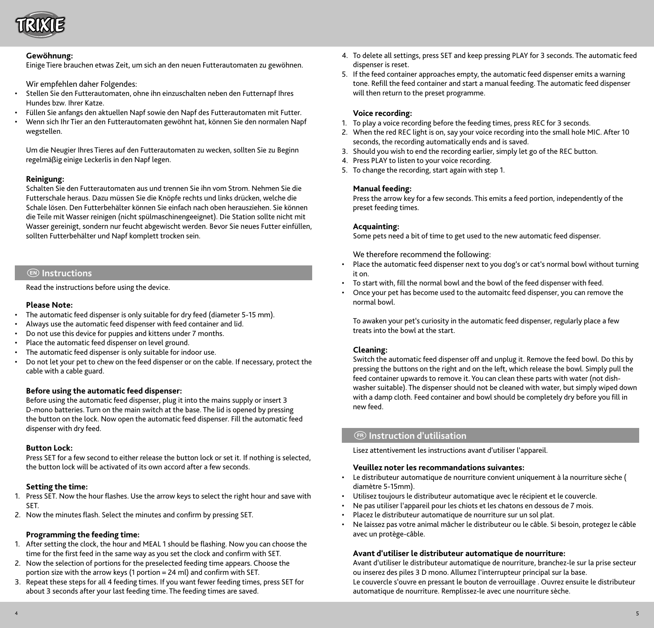

#### **Gewöhnung:**

Einige Tiere brauchen etwas Zeit, um sich an den neuen Futterautomaten zu gewöhnen.

Wir empfehlen daher Folgendes:

- Stellen Sie den Futterautomaten, ohne ihn einzuschalten neben den Futternapf Ihres Hundes bzw. Ihrer Katze.
- Füllen Sie anfangs den aktuellen Napf sowie den Napf des Futterautomaten mit Futter.
- Wenn sich Ihr Tier an den Futterautomaten gewöhnt hat, können Sie den normalen Napf wegstellen.

Um die Neugier Ihres Tieres auf den Futterautomaten zu wecken, sollten Sie zu Beginn regelmäßig einige Leckerlis in den Napf legen.

#### **Reinigung:**

Schalten Sie den Futterautomaten aus und trennen Sie ihn vom Strom. Nehmen Sie die Futterschale heraus. Dazu müssen Sie die Knöpfe rechts und links drücken, welche die Schale lösen. Den Futterbehälter können Sie einfach nach oben herausziehen. Sie können die Teile mit Wasser reinigen (nicht spülmaschinengeeignet). Die Station sollte nicht mit Wasser gereinigt, sondern nur feucht abgewischt werden. Bevor Sie neues Futter einfüllen, sollten Futterbehälter und Napf komplett trocken sein.

## E **Instructions**

Read the instructions before using the device.

## **Please Note:**

- The automatic feed dispenser is only suitable for dry feed (diameter 5-15 mm).
- Always use the automatic feed dispenser with feed container and lid.
- Do not use this device for puppies and kittens under 7 months.
- Place the automatic feed dispenser on level ground.
- The automatic feed dispenser is only suitable for indoor use.
- Do not let your pet to chew on the feed dispenser or on the cable. If necessary, protect the cable with a cable guard.

#### **Before using the automatic feed dispenser:**

Before using the automatic feed dispenser, plug it into the mains supply or insert 3 D-mono batteries. Turn on the main switch at the base. The lid is opened by pressing the button on the lock. Now open the automatic feed dispenser. Fill the automatic feed dispenser with dry feed.

#### **Button Lock:**

Press SET for a few second to either release the button lock or set it. If nothing is selected, the button lock will be activated of its own accord after a few seconds.

#### **Setting the time:**

- 1. Press SET. Now the hour flashes. Use the arrow keys to select the right hour and save with SET.
- 2. Now the minutes flash. Select the minutes and confirm by pressing SET.

#### **Programming the feeding time:**

- 1. After setting the clock, the hour and MEAL 1 should be flashing. Now you can choose the time for the first feed in the same way as you set the clock and confirm with SET.
- 2. Now the selection of portions for the preselected feeding time appears. Choose the portion size with the arrow keys (1 portion = 24 ml) and confirm with SET.
- 3. Repeat these steps for all 4 feeding times. If you want fewer feeding times, press SET for about 3 seconds after your last feeding time. The feeding times are saved.
- 4. To delete all settings, press SET and keep pressing PLAY for 3 seconds. The automatic feed dispenser is reset.
- 5. If the feed container approaches empty, the automatic feed dispenser emits a warning tone. Refill the feed container and start a manual feeding. The automatic feed dispenser will then return to the preset programme.

#### **Voice recording:**

- 1. To play a voice recording before the feeding times, press REC for 3 seconds.
- 2. When the red REC light is on, say your voice recording into the small hole MIC. After 10 seconds, the recording automatically ends and is saved.
- 3. Should you wish to end the recording earlier, simply let go of the REC button.
- 4. Press PLAY to listen to your voice recording.
- 5. To change the recording, start again with step 1.

## **Manual feeding:**

Press the arrow key for a few seconds. This emits a feed portion, independently of the preset feeding times.

#### **Acquainting:**

Some pets need a bit of time to get used to the new automatic feed dispenser.

We therefore recommend the following:

- Place the automatic feed dispenser next to you dog's or cat's normal bowl without turning it on.
- To start with, fill the normal bowl and the bowl of the feed dispenser with feed.
- Once your pet has become used to the automaitc feed dispenser, you can remove the normal bowl.

To awaken your pet's curiosity in the automatic feed dispenser, regularly place a few treats into the bowl at the start.

#### **Cleaning:**

Switch the automatic feed dispenser off and unplug it. Remove the feed bowl. Do this by pressing the buttons on the right and on the left, which release the bowl. Simply pull the feed container upwards to remove it. You can clean these parts with water (not dishwasher suitable). The dispenser should not be cleaned with water, but simply wiped down with a damp cloth. Feed container and bowl should be completely dry before you fill in new feed.

## F **Instruction d'utilisation**

Lisez attentivement les instructions avant d'utiliser l'appareil.

## **Veuillez noter les recommandations suivantes:**

- Le distributeur automatique de nourriture convient uniquement à la nourriture sèche ( diamètre 5-15mm).
- Utilisez toujours le distributeur automatique avec le récipient et le couvercle.
- Ne pas utiliser l'appareil pour les chiots et les chatons en dessous de 7 mois.
- Placez le distributeur automatique de nourriture sur un sol plat.
- Ne laissez pas votre animal mâcher le distributeur ou le câble. Si besoin, protegez le câble avec un protège-câble.

#### **Avant d'utiliser le distributeur automatique de nourriture:**

Avant d'utiliser le distributeur automatique de nourriture, branchez-le sur la prise secteur ou inserez des piles 3 D mono. Allumez l'interrupteur principal sur la base. Le couvercle s'ouvre en pressant le bouton de verrouillage . Ouvrez ensuite le distributeur automatique de nourriture. Remplissez-le avec une nourriture sèche.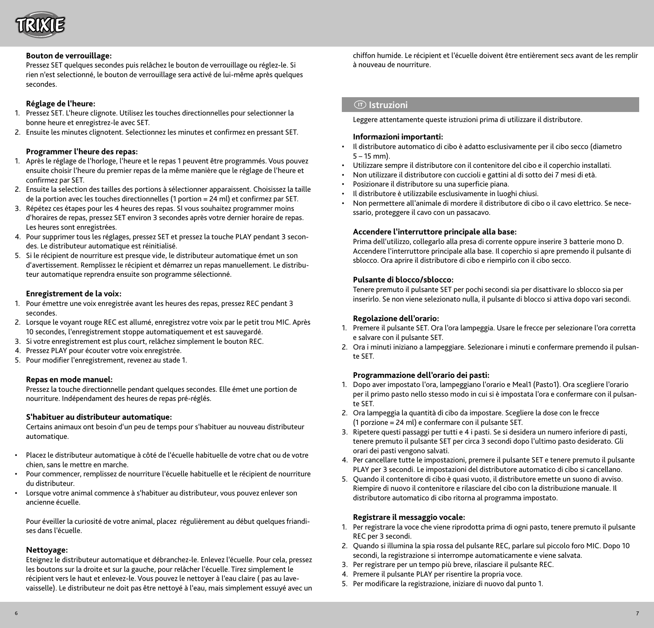

#### **Bouton de verrouillage:**

Pressez SET quelques secondes puis relâchez le bouton de verrouillage ou réglez-le. Si rien n'est selectionné, le bouton de verrouillage sera activé de lui-même après quelques secondes.

## **Réglage de l'heure:**

- 1. Pressez SET. L'heure clignote. Utilisez les touches directionnelles pour selectionner la bonne heure et enregistrez-le avec SET.
- 2. Ensuite les minutes clignotent. Selectionnez les minutes et confirmez en pressant SET.

#### **Programmer l'heure des repas:**

- 1. Après le réglage de l'horloge, l'heure et le repas 1 peuvent être programmés. Vous pouvez ensuite choisir l'heure du premier repas de la même manière que le réglage de l'heure et confirmez par SET.
- 2. Ensuite la selection des tailles des portions à sélectionner apparaissent. Choisissez la taille de la portion avec les touches directionnelles (1 portion = 24 ml) et confirmez par SET.
- 3. Répétez ces étapes pour les 4 heures des repas. SI vous souhaitez programmer moins d'horaires de repas, pressez SET environ 3 secondes après votre dernier horaire de repas. Les heures sont enregistrées.
- 4. Pour supprimer tous les réglages, pressez SET et pressez la touche PLAY pendant 3 secondes. Le distributeur automatique est réinitialisé.
- 5. Si le récipient de nourriture est presque vide, le distributeur automatique émet un son d'avertissement. Remplissez le récipient et démarrez un repas manuellement. Le distributeur automatique reprendra ensuite son programme sélectionné.

#### **Enregistrement de la voix:**

- 1. Pour émettre une voix enregistrée avant les heures des repas, pressez REC pendant 3 secondes.
- 2. Lorsque le voyant rouge REC est allumé, enregistrez votre voix par le petit trou MIC. Après 10 secondes, l'enregistrement stoppe automatiquement et est sauvegardé.
- 3. Si votre enregistrement est plus court, relâchez simplement le bouton REC.
- 4. Pressez PLAY pour écouter votre voix enregistrée.
- 5. Pour modifier l'enregistrement, revenez au stade 1.

## **Repas en mode manuel:**

Pressez la touche directionnelle pendant quelques secondes. Elle émet une portion de nourriture. Indépendament des heures de repas pré-réglés.

#### **S'habituer au distributeur automatique:**

Certains animaux ont besoin d'un peu de temps pour s'habituer au nouveau distributeur automatique.

- Placez le distributeur automatique à côté de l'écuelle habituelle de votre chat ou de votre chien, sans le mettre en marche.
- Pour commencer, remplissez de nourriture l'écuelle habituelle et le récipient de nourriture du distributeur.
- Lorsque votre animal commence à s'habituer au distributeur, vous pouvez enlever son ancienne écuelle.

Pour éveiller la curiosité de votre animal, placez régulièrement au début quelques friandises dans l'écuelle.

## **Nettoyage:**

Eteignez le distributeur automatique et débranchez-le. Enlevez l'écuelle. Pour cela, pressez les boutons sur la droite et sur la gauche, pour relâcher l'écuelle. Tirez simplement le récipient vers le haut et enlevez-le. Vous pouvez le nettoyer à l'eau claire ( pas au lavevaisselle). Le distributeur ne doit pas être nettoyé à l'eau, mais simplement essuyé avec un chiffon humide. Le récipient et l'écuelle doivent être entièrement secs avant de les remplir à nouveau de nourriture.

## I **Istruzioni**

Leggere attentamente queste istruzioni prima di utilizzare il distributore.

## **Informazioni importanti:**

- Il distributore automatico di cibo è adatto esclusivamente per il cibo secco (diametro 5 – 15 mm).
- Utilizzare sempre il distributore con il contenitore del cibo e il coperchio installati.
- Non utilizzare il distributore con cuccioli e gattini al di sotto dei 7 mesi di età.
- Posizionare il distributore su una superficie piana.
- Il distributore è utilizzabile esclusivamente in luoghi chiusi.
- Non permettere all'animale di mordere il distributore di cibo o il cavo elettrico. Se necessario, proteggere il cavo con un passacavo.

#### **Accendere l'interruttore principale alla base:**

Prima dell'utilizzo, collegarlo alla presa di corrente oppure inserire 3 batterie mono D. Accendere l'interruttore principale alla base. Il coperchio si apre premendo il pulsante di sblocco. Ora aprire il distributore di cibo e riempirlo con il cibo secco.

#### **Pulsante di blocco/sblocco:**

Tenere premuto il pulsante SET per pochi secondi sia per disattivare lo sblocco sia per inserirlo. Se non viene selezionato nulla, il pulsante di blocco si attiva dopo vari secondi.

#### **Regolazione dell'orario:**

- 1. Premere il pulsante SET. Ora l'ora lampeggia. Usare le frecce per selezionare l'ora corretta e salvare con il pulsante SET.
- 2. Ora i minuti iniziano a lampeggiare. Selezionare i minuti e confermare premendo il pulsante SET.

#### **Programmazione dell'orario dei pasti:**

- 1. Dopo aver impostato l'ora, lampeggiano l'orario e Meal1 (Pasto1). Ora scegliere l'orario per il primo pasto nello stesso modo in cui si è impostata l'ora e confermare con il pulsante SET.
- 2. Ora lampeggia la quantità di cibo da impostare. Scegliere la dose con le frecce (1 porzione = 24 ml) e confermare con il pulsante SET.
- 3. Ripetere questi passaggi per tutti e 4 i pasti. Se si desidera un numero inferiore di pasti, tenere premuto il pulsante SET per circa 3 secondi dopo l'ultimo pasto desiderato. Gli orari dei pasti vengono salvati.
- 4. Per cancellare tutte le impostazioni, premere il pulsante SET e tenere premuto il pulsante PLAY per 3 secondi. Le impostazioni del distributore automatico di cibo si cancellano.
- 5. Quando il contenitore di cibo è quasi vuoto, il distributore emette un suono di avviso. Riempire di nuovo il contenitore e rilasciare del cibo con la distribuzione manuale. Il distributore automatico di cibo ritorna al programma impostato.

#### **Registrare il messaggio vocale:**

- 1. Per registrare la voce che viene riprodotta prima di ogni pasto, tenere premuto il pulsante REC per 3 secondi.
- 2. Quando si illumina la spia rossa del pulsante REC, parlare sul piccolo foro MIC. Dopo 10 secondi, la registrazione si interrompe automaticamente e viene salvata.
- 3. Per registrare per un tempo più breve, rilasciare il pulsante REC.
- 4. Premere il pulsante PLAY per risentire la propria voce.
- 5. Per modificare la registrazione, iniziare di nuovo dal punto 1.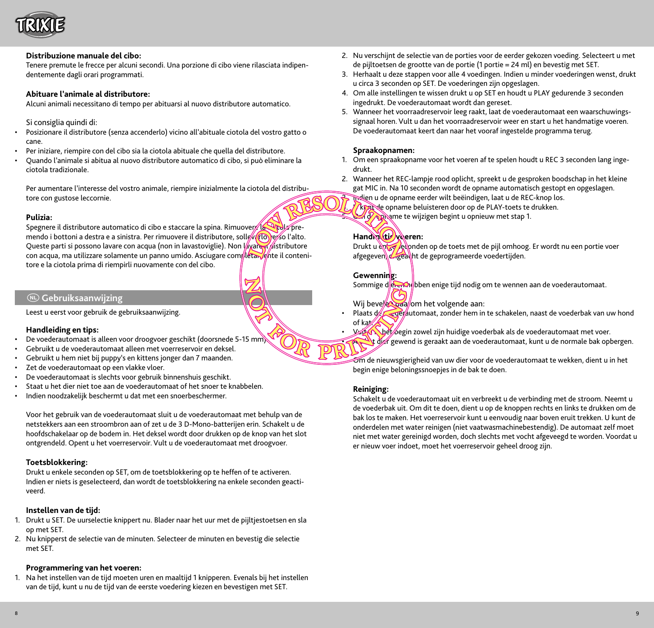

## **Distribuzione manuale del cibo:**

Tenere premute le frecce per alcuni secondi. Una porzione di cibo viene rilasciata indipendentemente dagli orari programmati.

#### **Abituare l'animale al distributore:**

Alcuni animali necessitano di tempo per abituarsi al nuovo distributore automatico.

#### Si consiglia quindi di:

- Posizionare il distributore (senza accenderlo) vicino all'abituale ciotola del vostro gatto o cane.
- Per iniziare, riempire con del cibo sia la ciotola abituale che quella del distributore.
- Quando l'animale si abitua al nuovo distributore automatico di cibo, si può eliminare la ciotola tradizionale.

Per aumentare l'interesse del vostro animale, riempire inizialmente la ciotola del distributore con gustose leccornie.

#### **Pulizia:**

Spegnere il distributore automatico di cibo e staccare la spina. Rimuover la premendo i bottoni a destra e a sinistra. Per rimuovere il distributore, solle (flo) e so l'alto. Queste parti si possono lavare con acqua (non in lavastoviglie). Non lavare distributore con acqua, ma utilizzare solamente un panno umido. Asciugare completamente il contenitore e la ciotola prima di riempirli nuovamente con del cibo.

## N **Gebruiksaanwijzing**

Leest u eerst voor gebruik de gebruiksaanwijzing.

#### **Handleiding en tips:**

- De voederautomaat is alleen voor droogvoer geschikt (doorsnede 5-15 mm).
- Gebruikt u de voederautomaat alleen met voerreservoir en deksel.
- Gebruikt u hem niet bij puppy's en kittens jonger dan 7 maanden.
- Zet de voederautomaat op een vlakke vloer.
- De voederautomaat is slechts voor gebruik binnenshuis geschikt.
- Staat u het dier niet toe aan de voederautomaat of het snoer te knabbelen.
- Indien noodzakelijk beschermt u dat met een snoerbeschermer.

Voor het gebruik van de voederautomaat sluit u de voederautomaat met behulp van de netstekkers aan een stroombron aan of zet u de 3 D-Mono-batterijen erin. Schakelt u de hoofdschakelaar op de bodem in. Het deksel wordt door drukken op de knop van het slot ontgrendeld. Opent u het voerreservoir. Vult u de voederautomaat met droogvoer.

#### **Toetsblokkering:**

Drukt u enkele seconden op SET, om de toetsblokkering op te heffen of te activeren. Indien er niets is geselecteerd, dan wordt de toetsblokkering na enkele seconden geactiveerd.

#### **Instellen van de tijd:**

- 1. Drukt u SET. De uurselectie knippert nu. Blader naar het uur met de pijltjestoetsen en sla op met SET.
- 2. Nu knipperst de selectie van de minuten. Selecteer de minuten en bevestig die selectie met SET.

#### **Programmering van het voeren:**

1. Na het instellen van de tijd moeten uren en maaltijd 1 knipperen. Evenals bij het instellen van de tijd, kunt u nu de tijd van de eerste voedering kiezen en bevestigen met SET.

- 2. Nu verschijnt de selectie van de porties voor de eerder gekozen voeding. Selecteert u met de pijltoetsen de grootte van de portie (1 portie = 24 ml) en bevestig met SET.
- 3. Herhaalt u deze stappen voor alle 4 voedingen. Indien u minder voederingen wenst, drukt u circa 3 seconden op SET. De voederingen zijn opgeslagen.
- 4. Om alle instellingen te wissen drukt u op SET en houdt u PLAY gedurende 3 seconden ingedrukt. De voederautomaat wordt dan gereset.
- 5. Wanneer het voorraadreservoir leeg raakt, laat de voederautomaat een waarschuwingssignaal horen. Vult u dan het voorraadreservoir weer en start u het handmatige voeren. De voederautomaat keert dan naar het vooraf ingestelde programma terug.

#### **Spraakopnamen:**

- 1. Om een spraakopname voor het voeren af te spelen houdt u REC 3 seconden lang ingedrukt.
- 2. Wanneer het REC-lampje rood oplicht, spreekt u de gesproken boodschap in het kleine gat MIC in. Na 10 seconden wordt de opname automatisch gestopt en opgeslagen.

Indien u de opname eerder wilt beëindigen, laat u de REC-knop los.

**AREADED OPTABLE OPTAME beluisteren door op de PLAY-toets te drukken.** 

**Om de opplanne te wijzigen begint u opnieuw met stap 1.** 

#### Hand**mitti voeren:**

Drukt u enter enden op de toets met de pijl omhoog. Er wordt nu een portie voer afgegeven, ongeacht de geprogrameerde voedertijden.

#### **Gewenning:**

Sommige die en hebben enige tijd nodig om te wennen aan de voederautomaat.

Wij bevelen daalom het volgende aan:

- Plaats de voederbak van uw hond of kat.
- VAA het begin zowel zijn huidige voederbak als de voederautomaat met voer.
- $\mathcal{A}$  die gewend is geraakt aan de voederautomaat, kunt u de normale bak opbergen.

 $\widehat{\mathcal{O}}$ m de nieuwsgierigheid van uw dier voor de voederautomaat te wekken, dient u in het begin enige beloningssnoepjes in de bak te doen.

## **Reiniging:**

Schakelt u de voederautomaat uit en verbreekt u de verbinding met de stroom. Neemt u de voederbak uit. Om dit te doen, dient u op de knoppen rechts en links te drukken om de bak los te maken. Het voerreservoir kunt u eenvoudig naar boven eruit trekken. U kunt de onderdelen met water reinigen (niet vaatwasmachinebestendig). De automaat zelf moet niet met water gereinigd worden, doch slechts met vocht afgeveegd te worden. Voordat u er nieuw voer indoet, moet het voerreservoir geheel droog zijn.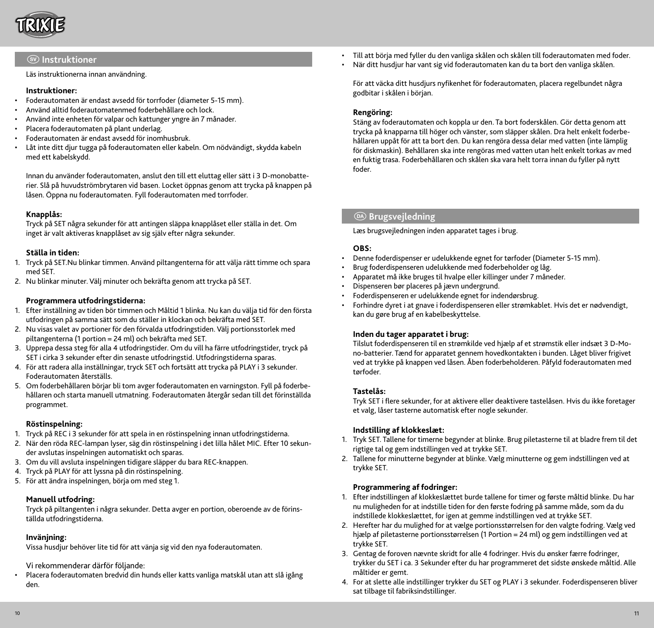

## $\circledR$  Instruktioner

Läs instruktionerna innan användning.

### **Instruktioner:**

- Foderautomaten är endast avsedd för torrfoder (diameter 5-15 mm).
- Använd alltid foderautomatenmed foderbehållare och lock.
- Använd inte enheten för valpar och kattunger yngre än 7 månader.
- Placera foderautomaten på plant underlag.
- Foderautomaten är endast avsedd för inomhusbruk.
- Låt inte ditt djur tugga på foderautomaten eller kabeln. Om nödvändigt, skydda kabeln med ett kabelskydd.

Innan du använder foderautomaten, anslut den till ett eluttag eller sätt i 3 D-monobatterier. Slå på huvudströmbrytaren vid basen. Locket öppnas genom att trycka på knappen på låsen. Öppna nu foderautomaten. Fyll foderautomaten med torrfoder.

## **Knapplås:**

Tryck på SET några sekunder för att antingen släppa knapplåset eller ställa in det. Om inget är valt aktiveras knapplåset av sig själv efter några sekunder.

## **Ställa in tiden:**

- 1. Tryck på SET.Nu blinkar timmen. Använd piltangenterna för att välja rätt timme och spara med SET.
- 2. Nu blinkar minuter. Välj minuter och bekräfta genom att trycka på SET.

#### **Programmera utfodringstiderna:**

- 1. Efter inställning av tiden bör timmen och Måltid 1 blinka. Nu kan du välja tid för den första utfodringen på samma sätt som du ställer in klockan och bekräfta med SET.
- 2. Nu visas valet av portioner för den förvalda utfodringstiden. Välj portionsstorlek med piltangenterna (1 portion = 24 ml) och bekräfta med SET.
- 3. Upprepa dessa steg för alla 4 utfodringstider. Om du vill ha färre utfodringstider, tryck på SET i cirka 3 sekunder efter din senaste utfodringstid. Utfodringstiderna sparas.
- 4. För att radera alla inställningar, tryck SET och fortsätt att trycka på PLAY i 3 sekunder. Foderautomaten återställs.
- 5. Om foderbehållaren börjar bli tom avger foderautomaten en varningston. Fyll på foderbehållaren och starta manuell utmatning. Foderautomaten återgår sedan till det förinställda programmet.

#### **Röstinspelning:**

- 1. Tryck på REC i 3 sekunder för att spela in en röstinspelning innan utfodringstiderna.
- 2. När den röda REC-lampan lyser, säg din röstinspelning i det lilla hålet MIC. Efter 10 sekunder avslutas inspelningen automatiskt och sparas.
- 3. Om du vill avsluta inspelningen tidigare släpper du bara REC-knappen.
- 4. Tryck på PLAY för att lyssna på din röstinspelning.
- 5. För att ändra inspelningen, börja om med steg 1.

## **Manuell utfodring:**

Tryck på piltangenten i några sekunder. Detta avger en portion, oberoende av de förinställda utfodringstiderna.

## **Invänjning:**

Vissa husdjur behöver lite tid för att vänja sig vid den nya foderautomaten.

Vi rekommenderar därför följande:

• Placera foderautomaten bredvid din hunds eller katts vanliga matskål utan att slå igång den.

- Till att börja med fyller du den vanliga skålen och skålen till foderautomaten med foder.
- När ditt husdjur har vant sig vid foderautomaten kan du ta bort den vanliga skålen.

För att väcka ditt husdjurs nyfikenhet för foderautomaten, placera regelbundet några godbitar i skålen i början.

## **Rengöring:**

Stäng av foderautomaten och koppla ur den. Ta bort foderskålen. Gör detta genom att trycka på knapparna till höger och vänster, som släpper skålen. Dra helt enkelt foderbehållaren uppåt för att ta bort den. Du kan rengöra dessa delar med vatten (inte lämplig för diskmaskin). Behållaren ska inte rengöras med vatten utan helt enkelt torkas av med en fuktig trasa. Foderbehållaren och skålen ska vara helt torra innan du fyller på nytt foder.

## <sup>@</sup> Brugsvejledning

Læs brugsvejledningen inden apparatet tages i brug.

## **OBS:**

- Denne foderdispenser er udelukkende egnet for tørfoder (Diameter 5-15 mm).
- Brug foderdispenseren udelukkende med foderbeholder og låg.
- Apparatet må ikke bruges til hvalpe eller killinger under 7 måneder.
- Dispenseren bør placeres på jævn undergrund.
- Foderdispenseren er udelukkende egnet for indendørsbrug.
- Forhindre dyret i at gnave i foderdispenseren eller strømkablet. Hvis det er nødvendigt, kan du gøre brug af en kabelbeskyttelse.

#### **Inden du tager apparatet i brug:**

Tilslut foderdispenseren til en strømkilde ved hjælp af et strømstik eller indsæt 3 D-Mono-batterier. Tænd for apparatet gennem hovedkontakten i bunden. Låget bliver frigivet ved at trykke på knappen ved låsen. Åben foderbeholderen. Påfyld foderautomaten med tørfoder.

## **Tastelås:**

Tryk SET i flere sekunder, for at aktivere eller deaktivere tastelåsen. Hvis du ikke foretager et valg, låser tasterne automatisk efter nogle sekunder.

#### **Indstilling af klokkeslæt:**

- 1. Tryk SET. Tallene for timerne begynder at blinke. Brug piletasterne til at bladre frem til det rigtige tal og gem indstillingen ved at trykke SET.
- 2. Tallene for minutterne begynder at blinke. Vælg minutterne og gem indstillingen ved at trykke SET.

## **Programmering af fodringer:**

- 1. Efter indstillingen af klokkeslættet burde tallene for timer og første måltid blinke. Du har nu muligheden for at indstille tiden for den første fodring på samme måde, som da du indstillede klokkeslættet, for igen at gemme indstillingen ved at trykke SET.
- 2. Herefter har du mulighed for at vælge portionsstørrelsen for den valgte fodring. Vælg ved hjælp af piletasterne portionsstørrelsen (1 Portion = 24 ml) og gem indstillingen ved at trykke SET.
- 3. Gentag de foroven nævnte skridt for alle 4 fodringer. Hvis du ønsker færre fodringer, trykker du SET i ca. 3 Sekunder efter du har programmeret det sidste ønskede måltid. Alle måltider er gemt.
- 4. For at slette alle indstillinger trykker du SET og PLAY i 3 sekunder. Foderdispenseren bliver sat tilbage til fabriksindstillinger.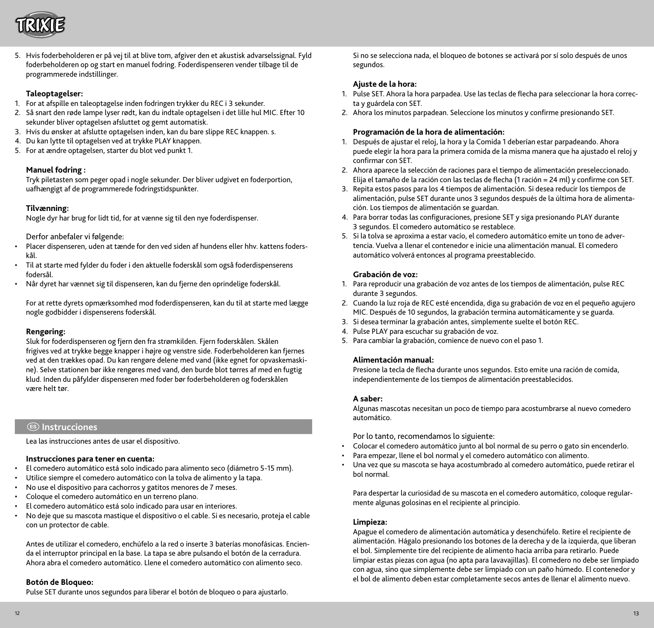

5. Hvis foderbeholderen er på vej til at blive tom, afgiver den et akustisk advarselssignal. Fyld foderbeholderen op og start en manuel fodring. Foderdispenseren vender tilbage til de programmerede indstillinger.

#### **Taleoptagelser:**

- 1. For at afspille en taleoptagelse inden fodringen trykker du REC i 3 sekunder.
- 2. Så snart den røde lampe lyser rødt, kan du indtale optagelsen i det lille hul MIC. Efter 10 sekunder bliver optagelsen afsluttet og gemt automatisk.
- 3. Hvis du ønsker at afslutte optagelsen inden, kan du bare slippe REC knappen. s.
- 4. Du kan lytte til optagelsen ved at trykke PLAY knappen.
- 5. For at ændre optagelsen, starter du blot ved punkt 1.

## **Manuel fodring :**

Tryk piletasten som peger opad i nogle sekunder. Der bliver udgivet en foderportion, uafhængigt af de programmerede fodringstidspunkter.

#### **Tilvænning:**

Nogle dyr har brug for lidt tid, for at vænne sig til den nye foderdispenser.

Derfor anbefaler vi følgende:

- Placer dispenseren, uden at tænde for den ved siden af hundens eller hhv. kattens foderskål.
- Til at starte med fylder du foder i den aktuelle foderskål som også foderdispenserens fodersål.
- Når dyret har vænnet sig til dispenseren, kan du fjerne den oprindelige foderskål.

For at rette dyrets opmærksomhed mod foderdispenseren, kan du til at starte med lægge nogle godbidder i dispenserens foderskål.

#### **Rengøring:**

Sluk for foderdispenseren og fjern den fra strømkilden. Fjern foderskålen. Skålen frigives ved at trykke begge knapper i højre og venstre side. Foderbeholderen kan fjernes ved at den trækkes opad. Du kan rengøre delene med vand (ikke egnet for opvaskemaskine). Selve stationen bør ikke rengøres med vand, den burde blot tørres af med en fugtig klud. Inden du påfylder dispenseren med foder bør foderbeholderen og foderskålen være helt tør.

## e **Instrucciones**

Lea las instrucciones antes de usar el dispositivo.

#### **Instrucciones para tener en cuenta:**

- El comedero automático está solo indicado para alimento seco (diámetro 5-15 mm).
- Utilice siempre el comedero automático con la tolva de alimento y la tapa.
- No use el dispositivo para cachorros y gatitos menores de 7 meses.
- Coloque el comedero automático en un terreno plano.
- El comedero automático está solo indicado para usar en interiores.
- No deje que su mascota mastique el dispositivo o el cable. Si es necesario, proteja el cable con un protector de cable.

Antes de utilizar el comedero, enchúfelo a la red o inserte 3 baterías monofásicas. Encienda el interruptor principal en la base. La tapa se abre pulsando el botón de la cerradura. Ahora abra el comedero automático. Llene el comedero automático con alimento seco.

## **Botón de Bloqueo:**

Pulse SET durante unos segundos para liberar el botón de bloqueo o para ajustarlo.

Si no se selecciona nada, el bloqueo de botones se activará por sí solo después de unos segundos.

#### **Ajuste de la hora:**

- 1. Pulse SET. Ahora la hora parpadea. Use las teclas de flecha para seleccionar la hora correcta y guárdela con SET.
- 2. Ahora los minutos parpadean. Seleccione los minutos y confirme presionando SET.

## **Programación de la hora de alimentación:**

- 1. Después de ajustar el reloj, la hora y la Comida 1 deberían estar parpadeando. Ahora puede elegir la hora para la primera comida de la misma manera que ha ajustado el reloj y confirmar con SET.
- 2. Ahora aparece la selección de raciones para el tiempo de alimentación preseleccionado. Elija el tamaño de la ración con las teclas de flecha (1 ración = 24 ml) y confirme con SET.
- 3. Repita estos pasos para los 4 tiempos de alimentación. Si desea reducir los tiempos de alimentación, pulse SET durante unos 3 segundos después de la última hora de alimentación. Los tiempos de alimentación se guardan.
- 4. Para borrar todas las configuraciones, presione SET y siga presionando PLAY durante 3 segundos. El comedero automático se restablece.
- 5. Si la tolva se aproxima a estar vacío, el comedero automático emite un tono de advertencia. Vuelva a llenar el contenedor e inicie una alimentación manual. El comedero automático volverá entonces al programa preestablecido.

## **Grabación de voz:**

- 1. Para reproducir una grabación de voz antes de los tiempos de alimentación, pulse REC durante 3 segundos.
- 2. Cuando la luz roja de REC esté encendida, diga su grabación de voz en el pequeño agujero MIC. Después de 10 segundos, la grabación termina automáticamente y se guarda.
- 3. Si desea terminar la grabación antes, simplemente suelte el botón REC.
- 4. Pulse PLAY para escuchar su grabación de voz.
- 5. Para cambiar la grabación, comience de nuevo con el paso 1.

## **Alimentación manual:**

Presione la tecla de flecha durante unos segundos. Esto emite una ración de comida, independientemente de los tiempos de alimentación preestablecidos.

#### **A saber:**

Algunas mascotas necesitan un poco de tiempo para acostumbrarse al nuevo comedero automático.

Por lo tanto, recomendamos lo siguiente:

- Colocar el comedero automático junto al bol normal de su perro o gato sin encenderlo.
- Para empezar, llene el bol normal y el comedero automático con alimento.
- Una vez que su mascota se haya acostumbrado al comedero automático, puede retirar el bol normal.

Para despertar la curiosidad de su mascota en el comedero automático, coloque regularmente algunas golosinas en el recipiente al principio.

#### **Limpieza:**

Apague el comedero de alimentación automática y desenchúfelo. Retire el recipiente de alimentación. Hágalo presionando los botones de la derecha y de la izquierda, que liberan el bol. Simplemente tire del recipiente de alimento hacia arriba para retirarlo. Puede limpiar estas piezas con agua (no apta para lavavajillas). El comedero no debe ser limpiado con agua, sino que simplemente debe ser limpiado con un paño húmedo. El contenedor y el bol de alimento deben estar completamente secos antes de llenar el alimento nuevo.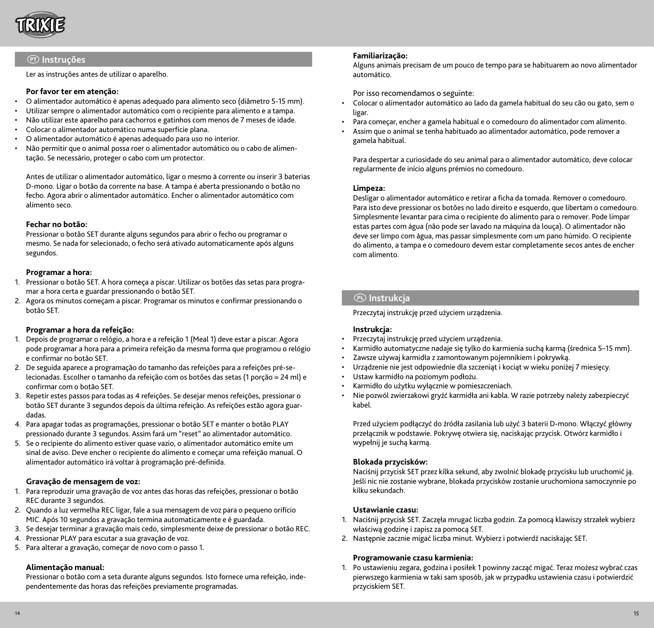

## P **Instruções**

Ler as instruções antes de utilizar o aparelho.

### **Por favor ter em atenção:**

- O alimentador automático é apenas adequado para alimento seco (diâmetro 5-15 mm).
- Utilizar sempre o alimentador automático com o recipiente para alimento e a tampa.
- Não utilizar este aparelho para cachorros e gatinhos com menos de 7 meses de idade.
- Colocar o alimentador automático numa superfície plana.
- O alimentador automático é apenas adequado para uso no interior.
- Não permitir que o animal possa roer o alimentador automático ou o cabo de alimentação. Se necessário, proteger o cabo com um protector.

Antes de utilizar o alimentador automático, ligar o mesmo à corrente ou inserir 3 baterias D-mono. Ligar o botão da corrente na base. A tampa é aberta pressionando o botão no fecho. Agora abrir o alimentador automático. Encher o alimentador automático com alimento seco.

## **Fechar no botão:**

Pressionar o botão SET durante alguns segundos para abrir o fecho ou programar o mesmo. Se nada for selecionado, o fecho será ativado automaticamente após alguns segundos.

#### **Programar a hora:**

- 1. Pressionar o botão SET. A hora começa a piscar. Utilizar os botões das setas para programar a hora certa e guardar pressionando o botão SET.
- 2. Agora os minutos começam a piscar. Programar os minutos e confirmar pressionando o botão SET.

#### **Programar a hora da refeição:**

- 1. Depois de programar o relógio, a hora e a refeição 1 (Meal 1) deve estar a piscar. Agora pode programar a hora para a primeira refeição da mesma forma que programou o relógio e confirmar no botão SET.
- 2. De seguida aparece a programação do tamanho das refeições para a refeições pré-selecionadas. Escolher o tamanho da refeição com os botões das setas (1 porção = 24 ml) e confirmar com o botão SET.
- 3. Repetir estes passos para todas as 4 refeições. Se desejar menos refeições, pressionar o botão SET durante 3 segundos depois da última refeição. As refeições estão agora guardadas.
- 4. Para apagar todas as programações, pressionar o botão SET e manter o botão PLAY pressionado durante 3 segundos. Assim fará um "reset" ao alimentador automático.
- 5. Se o recipiente do alimento estiver quase vazio, o alimentador automático emite um sinal de aviso. Deve encher o recipiente do alimento e começar uma refeição manual. O alimentador automático irá voltar à programação pré-definida.

#### **Gravação de mensagem de voz:**

- 1. Para reproduzir uma gravação de voz antes das horas das refeições, pressionar o botão REC durante 3 segundos.
- 2. Quando a luz vermelha REC ligar, fale a sua mensagem de voz para o pequeno orifício MIC. Após 10 segundos a gravação termina automaticamente e é guardada.
- 3. Se desejar terminar a gravação mais cedo, simplesmente deixe de pressionar o botão REC.
- 4. Pressionar PLAY para escutar a sua gravação de voz.
- 5. Para alterar a gravação, começar de novo com o passo 1.

#### **Alimentação manual:**

Pressionar o botão com a seta durante alguns segundos. Isto fornece uma refeição, independentemente das horas das refeições previamente programadas.

#### **Familiarização:**

Alguns animais precisam de um pouco de tempo para se habituarem ao novo alimentador automático.

Por isso recomendamos o seguinte:

- Colocar o alimentador automático ao lado da gamela habitual do seu cão ou gato, sem o ligar.
- Para começar, encher a gamela habitual e o comedouro do alimentador com alimento.
- Assim que o animal se tenha habituado ao alimentador automático, pode remover a gamela habitual.

Para despertar a curiosidade do seu animal para o alimentador automático, deve colocar regularmente de início alguns prémios no comedouro.

#### **Limpeza:**

Desligar o alimentador automático e retirar a ficha da tomada. Remover o comedouro. Para isto deve pressionar os botões no lado direito e esquerdo, que libertam o comedouro. Simplesmente levantar para cima o recipiente do alimento para o remover. Pode limpar estas partes com água (não pode ser lavado na máquina da louça). O alimentador não deve ser limpo com água, mas passar simplesmente com um pano húmido. O recipiente do alimento, a tampa e o comedouro devem estar completamente secos antes de encher com alimento.

## p **Instrukcja**

Przeczytaj instrukcję przed użyciem urządzenia.

#### **Instrukcja:**

- Przeczytaj instrukcję przed użyciem urządzenia.
- Karmidło automatyczne nadaje się tylko do karmienia suchą karmą (średnica 5–15 mm).
- Zawsze używaj karmidła z zamontowanym pojemnikiem i pokrywką.
- Urządzenie nie jest odpowiednie dla szczeniąt i kociąt w wieku poniżej 7 miesięcy.
- Ustaw karmidło na poziomym podłożu.
- Karmidło do użytku wyłącznie w pomieszczeniach.
- Nie pozwól zwierzakowi gryźć karmidła ani kabla. W razie potrzeby należy zabezpieczyć kabel.

Przed użyciem podłączyć do źródła zasilania lub użyć 3 baterii D-mono. Włączyć główny przełącznik w podstawie. Pokrywę otwiera się, naciskając przycisk. Otwórz karmidło i wypełnij je suchą karmą.

#### **Blokada przycisków:**

Naciśnij przycisk SET przez kilka sekund, aby zwolnić blokadę przycisku lub uruchomić ją. Jeśli nic nie zostanie wybrane, blokada przycisków zostanie uruchomiona samoczynnie po kilku sekundach.

## **Ustawianie czasu:**

- 1. Naciśnij przycisk SET. Zaczęła mrugać liczba godzin. Za pomocą klawiszy strzałek wybierz właściwą godzinę i zapisz za pomocą SET.
- 2. Następnie zacznie migać liczba minut. Wybierz i potwierdź naciskając SET.

#### **Programowanie czasu karmienia:**

1. Po ustawieniu zegara, godzina i posiłek 1 powinny zacząć migać. Teraz możesz wybrać czas pierwszego karmienia w taki sam sposób, jak w przypadku ustawienia czasu i potwierdzić przyciskiem SET.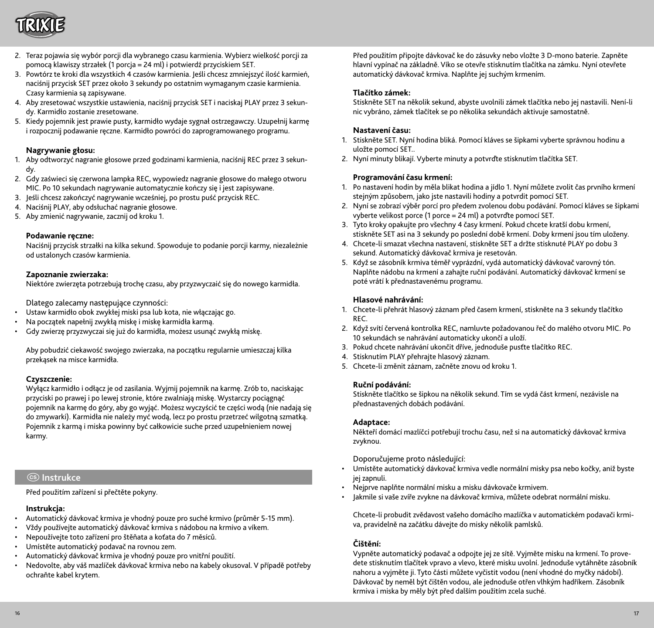

- 2. Teraz pojawia się wybór porcji dla wybranego czasu karmienia. Wybierz wielkość porcji za pomocą klawiszy strzałek (1 porcja = 24 ml) i potwierdź przyciskiem SET.
- 3. Powtórz te kroki dla wszystkich 4 czasów karmienia. Jeśli chcesz zmniejszyć ilość karmień, naciśnij przycisk SET przez około 3 sekundy po ostatnim wymaganym czasie karmienia. Czasy karmienia są zapisywane.
- 4. Aby zresetować wszystkie ustawienia, naciśnij przycisk SET i naciskaj PLAY przez 3 sekundy. Karmidło zostanie zresetowane.
- 5. Kiedy pojemnik jest prawie pusty, karmidło wydaje sygnał ostrzegawczy. Uzupełnij karmę i rozpocznij podawanie ręczne. Karmidło powróci do zaprogramowanego programu.

#### **Nagrywanie głosu:**

- 1. Aby odtworzyć nagranie głosowe przed godzinami karmienia, naciśnij REC przez 3 sekundy.
- 2. Gdy zaświeci się czerwona lampka REC, wypowiedz nagranie głosowe do małego otworu MIC. Po 10 sekundach nagrywanie automatycznie kończy się i jest zapisywane.
- 3. Jeśli chcesz zakończyć nagrywanie wcześniej, po prostu puść przycisk REC.
- 4. Naciśnij PLAY, aby odsłuchać nagranie głosowe.
- 5. Aby zmienić nagrywanie, zacznij od kroku 1.

#### **Podawanie ręczne:**

Naciśnij przycisk strzałki na kilka sekund. Spowoduje to podanie porcji karmy, niezależnie od ustalonych czasów karmienia.

## **Zapoznanie zwierzaka:**

Niektóre zwierzęta potrzebują trochę czasu, aby przyzwyczaić się do nowego karmidła.

Dlatego zalecamy następujące czynności:

- Ustaw karmidło obok zwykłej miski psa lub kota, nie włączając go.
- Na początek napełnij zwykłą miskę i miskę karmidła karmą.
- Gdy zwierzę przyzwyczai się już do karmidła, możesz usunąć zwykłą miskę.

Aby pobudzić ciekawość swojego zwierzaka, na początku regularnie umieszczaj kilka przekąsek na misce karmidła.

## **Czyszczenie:**

Wyłącz karmidło i odłącz je od zasilania. Wyjmij pojemnik na karmę. Zrób to, naciskając przyciski po prawej i po lewej stronie, które zwalniają miskę. Wystarczy pociągnąć pojemnik na karmę do góry, aby go wyjąć. Możesz wyczyścić te części wodą (nie nadają się do zmywarki). Karmidła nie należy myć wodą, lecz po prostu przetrzeć wilgotną szmatką. Pojemnik z karmą i miska powinny być całkowicie suche przed uzupełnieniem nowej karmy.

## $\circledcirc$  Instrukce

Před použitím zařízení si přečtěte pokyny.

## **Instrukcja:**

- Automatický dávkovač krmiva je vhodný pouze pro suché krmivo (průměr 5-15 mm).
- Vždy používejte automatický dávkovač krmiva s nádobou na krmivo a víkem.
- Nepoužívejte toto zařízení pro štěňata a koťata do 7 měsíců.
- Umístěte automatický podavač na rovnou zem.
- Automatický dávkovač krmiva je vhodný pouze pro vnitřní použití.
- Nedovolte, aby váš mazlíček dávkovač krmiva nebo na kabely okusoval. V případě potřeby ochraňte kabel krytem.

Před použitím připojte dávkovač ke do zásuvky nebo vložte 3 D-mono baterie. Zapněte hlavní vypínač na základně. Víko se otevře stisknutím tlačítka na zámku. Nyní otevřete automatický dávkovač krmiva. Naplňte jej suchým krmením.

## **Tlačítko zámek:**

Stiskněte SET na několik sekund, abyste uvolnili zámek tlačítka nebo jej nastavili. Není-li nic vybráno, zámek tlačítek se po několika sekundách aktivuje samostatně.

## **Nastavení času:**

- 1. Stiskněte SET. Nyní hodina bliká. Pomocí kláves se šipkami vyberte správnou hodinu a uložte pomocí SET..
- 2. Nyní minuty blikají. Vyberte minuty a potvrďte stisknutím tlačítka SET.

#### **Programování času krmení:**

- 1. Po nastavení hodin by měla blikat hodina a jídlo 1. Nyní můžete zvolit čas prvního krmení stejným způsobem, jako jste nastavili hodiny a potvrdit pomocí SET.
- 2. Nyní se zobrazí výběr porcí pro předem zvolenou dobu podávání. Pomocí kláves se šipkami vyberte velikost porce (1 porce = 24 ml) a potvrďte pomocí SET.
- 3. Tyto kroky opakujte pro všechny 4 časy krmení. Pokud chcete kratší dobu krmení, stiskněte SET asi na 3 sekundy po poslední době krmení. Doby krmení jsou tím uloženy.
- 4. Chcete-li smazat všechna nastavení, stiskněte SET a držte stisknuté PLAY po dobu 3 sekund. Automatický dávkovač krmiva je resetován.
- 5. Když se zásobník krmiva téměř vyprázdní, vydá automatický dávkovač varovný tón. Naplňte nádobu na krmení a zahajte ruční podávání. Automatický dávkovač krmení se poté vrátí k přednastavenému programu.

## **Hlasové nahrávání:**

- 1. Chcete-li přehrát hlasový záznam před časem krmení, stiskněte na 3 sekundy tlačítko REC.
- 2. Když svítí červená kontrolka REC, namluvte požadovanou řeč do malého otvoru MIC. Po 10 sekundách se nahrávání automaticky ukončí a uloží.
- 3. Pokud chcete nahrávání ukončit dříve, jednoduše pusťte tlačítko REC.
- 4. Stisknutím PLAY přehrajte hlasový záznam.
- 5. Chcete-li změnit záznam, začněte znovu od kroku 1.

#### **Ruční podávání:**

Stiskněte tlačítko se šipkou na několik sekund. Tím se vydá část krmení, nezávisle na přednastavených dobách podávání.

#### **Adaptace:**

Někteří domácí mazlíčci potřebují trochu času, než si na automatický dávkovač krmiva zvyknou.

Doporučujeme proto následující:

- Umístěte automatický dávkovač krmiva vedle normální misky psa nebo kočky, aniž byste jej zapnuli.
- Nejprve naplňte normální misku a misku dávkovače krmivem.
- Jakmile si vaše zvíře zvykne na dávkovač krmiva, můžete odebrat normální misku.

Chcete-li probudit zvědavost vašeho domácího mazlíčka v automatickém podavači krmiva, pravidelně na začátku dávejte do misky několik pamlsků.

## **Čištění:**

Vypněte automatický podavač a odpojte jej ze sítě. Vyjměte misku na krmení. To provedete stisknutím tlačítek vpravo a vlevo, které misku uvolní. Jednoduše vytáhněte zásobník nahoru a vyjměte ji. Tyto části můžete vyčistit vodou (není vhodné do myčky nádobí). Dávkovač by neměl být čištěn vodou, ale jednoduše otřen vlhkým hadříkem. Zásobník krmiva i miska by měly být před dalším použitím zcela suché.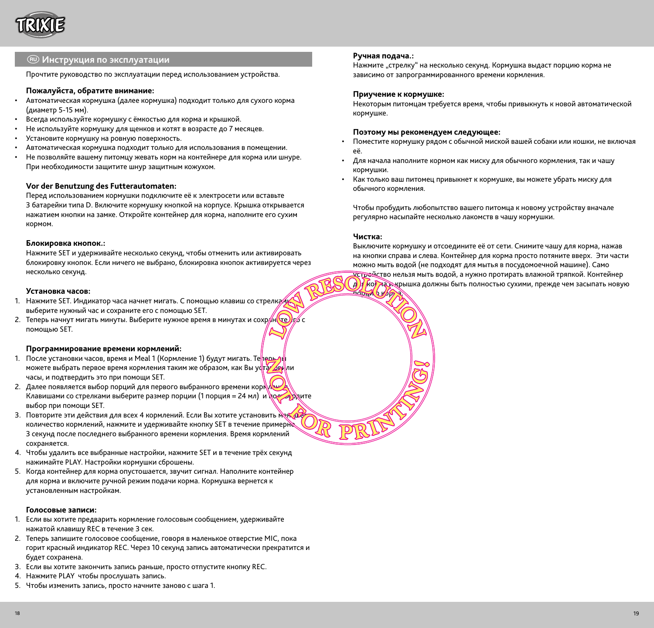

## R **Инструкция по эксплуатации**

Прочтите руководство по эксплуатации перед использованием устройства.

## **Пожалуйста, обратите внимание:**

- Автоматическая кормушка (далее кормушка) подходит только для сухого корма (диаметр 5-15 мм).
- Всегда используйте кормушку с ёмкостью для корма и крышкой.
- Не используйте кормушку для щенков и котят в возрасте до 7 месяцев.
- Установите кормушку на ровную поверхность.
- Автоматическая кормушка подходит только для использования в помещении.
- Не позволяйте вашему питомцу жевать корм на контейнере для корма или шнуре. При необходимости защитите шнур защитным кожухом.

#### **Vor der Benutzung des Futterautomaten:**

Перед использованием кормушки подключите её к электросети или вставьте 3 батарейки типа D. Включите кормушку кнопкой на корпусе. Крышка открывается нажатием кнопки на замке. Откройте контейнер для корма, наполните его сухим кормом.

#### **Блокировка кнопок.:**

Нажмите SET и удерживайте несколько секунд, чтобы отменить или активировать блокировку кнопок. Если ничего не выбрано, блокировка кнопок активируется через несколько секунд.

## **Установка часов:**

- 1. Нажмите SET. Индикатор часа начнет мигать. С помощью клавиш со стрелка / выберите нужный час и сохраните его с помощью SET.
- 2. Теперь начнут мигать минуты. Выберите нужное время в минутах и сохр $/\mu$  (те)  $\ell$  с помощью SET.

#### **Программирование времени кормлений:**

- 1. После установки часов, время и Meal 1 (Кормление 1) будут мигать. Теперь п можете выбрать первое время кормления таким же образом, как Вы уста били часы, и подтвердить это при помощи SET.
- 2. Далее появляется выбор порций для первого выбранного времени корки Клавишами со стрелками выберите размер порции (1 порция = 24 мл) и постардите выбор при помощи SET.
- 3. Повторите эти действия для всех 4 кормлений. Если Вы хотите установить меньшее количество кормлений, нажмите и удерживайте кнопку SET в течение примерне 3 секунд после последнего выбранного времени кормления. Время кормлений сохраняется.
- 4. Чтобы удалить все выбранные настройки, нажмите SET и в течение трёх секунд нажимайте PLAY. Настройки кормушки сброшены.
- 5. Когда контейнер для корма опустошается, звучит сигнал. Наполните контейнер для корма и включите ручной режим подачи корма. Кормушка вернется к установленным настройкам.

## **Голосовые записи:**

- 1. Если вы хотите предварить кормление голосовым сообщением, удерживайте нажатой клавишу REC в течение 3 сек.
- 2. Теперь запишите голосовое сообщение, говоря в маленькое отверстие MIC, пока горит красный индикатор REC. Через 10 секунд запись автоматически прекратится и будет сохранена.
- 3. Если вы хотите закончить запись раньше, просто отпустите кнопку REC.
- 4. Нажмите PLAY чтобы прослушать запись.
- 5. Чтобы изменить запись, просто начните заново с шага 1.

#### **Ручная подача.:**

Нажмите "стрелку" на несколько секунд. Кормушка выдаст порцию корма не зависимо от запрограммированного времени кормления.

#### **Приучение к кормушке:**

Некоторым питомцам требуется время, чтобы привыкнуть к новой автоматической кормушке.

#### **Поэтому мы рекомендуем следующее:**

- Поместите кормушку рядом с обычной миской вашей собаки или кошки, не включая её.
- Для начала наполните кормом как миску для обычного кормления, так и чашу кормушки.
- Как только ваш питомец привыкнет к кормушке, вы можете убрать миску для обычного кормления.

Чтобы пробудить любопытство вашего питомца к новому устройству вначале регулярно насыпайте несколько лакомств в чашу кормушки.

#### **Чистка:**

 $\frac{1}{200}$  ko

Выключите кормушку и отсоедините её от сети. Снимите чашу для корма, нажав на кнопки справа и слева. Контейнер для корма просто потяните вверх. Эти части можно мыть водой (не подходят для мытья в посудомоечной машине). Само устройство нельзя мыть водой, а нужно протирать влажной тряпкой. Контейнер д) и корма жрышка должны быть полностью сухими, прежде чем засыпать новую